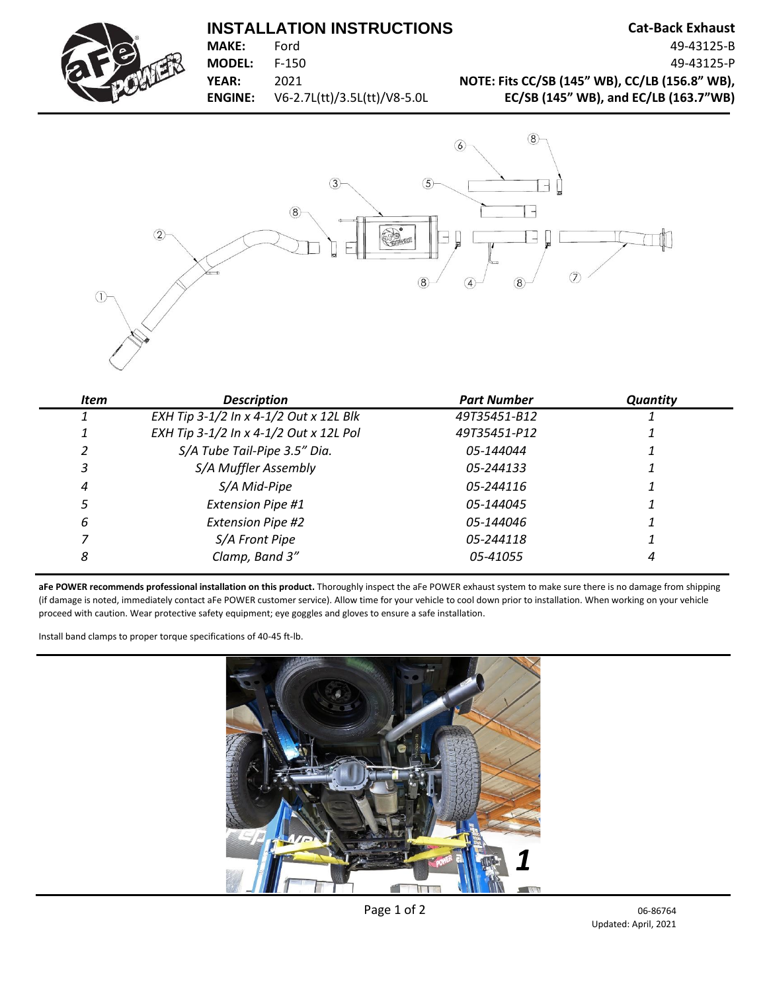## **INSTALLATION INSTRUCTIONS** Cat-Back Exhaust





| Item | <b>Description</b>                     | <b>Part Number</b> | <b>Quantity</b> |
|------|----------------------------------------|--------------------|-----------------|
|      | EXH Tip 3-1/2 In x 4-1/2 Out x 12L Blk | 49T35451-B12       |                 |
|      | EXH Tip 3-1/2 In x 4-1/2 Out x 12L Pol | 49T35451-P12       |                 |
|      | S/A Tube Tail-Pipe 3.5" Dia.           | 05-144044          |                 |
|      | S/A Muffler Assembly                   | 05-244133          |                 |
| 4    | S/A Mid-Pipe                           | 05-244116          |                 |
|      | <b>Extension Pipe #1</b>               | 05-144045          |                 |
| 6    | <b>Extension Pipe #2</b>               | 05-144046          |                 |
|      | S/A Front Pipe                         | 05-244118          |                 |
| 8    | Clamp, Band 3"                         | 05-41055           |                 |

**aFe POWER recommends professional installation on this product.** Thoroughly inspect the aFe POWER exhaust system to make sure there is no damage from shipping (if damage is noted, immediately contact aFe POWER customer service). Allow time for your vehicle to cool down prior to installation. When working on your vehicle proceed with caution. Wear protective safety equipment; eye goggles and gloves to ensure a safe installation.

Install band clamps to proper torque specifications of 40-45 ft-lb.